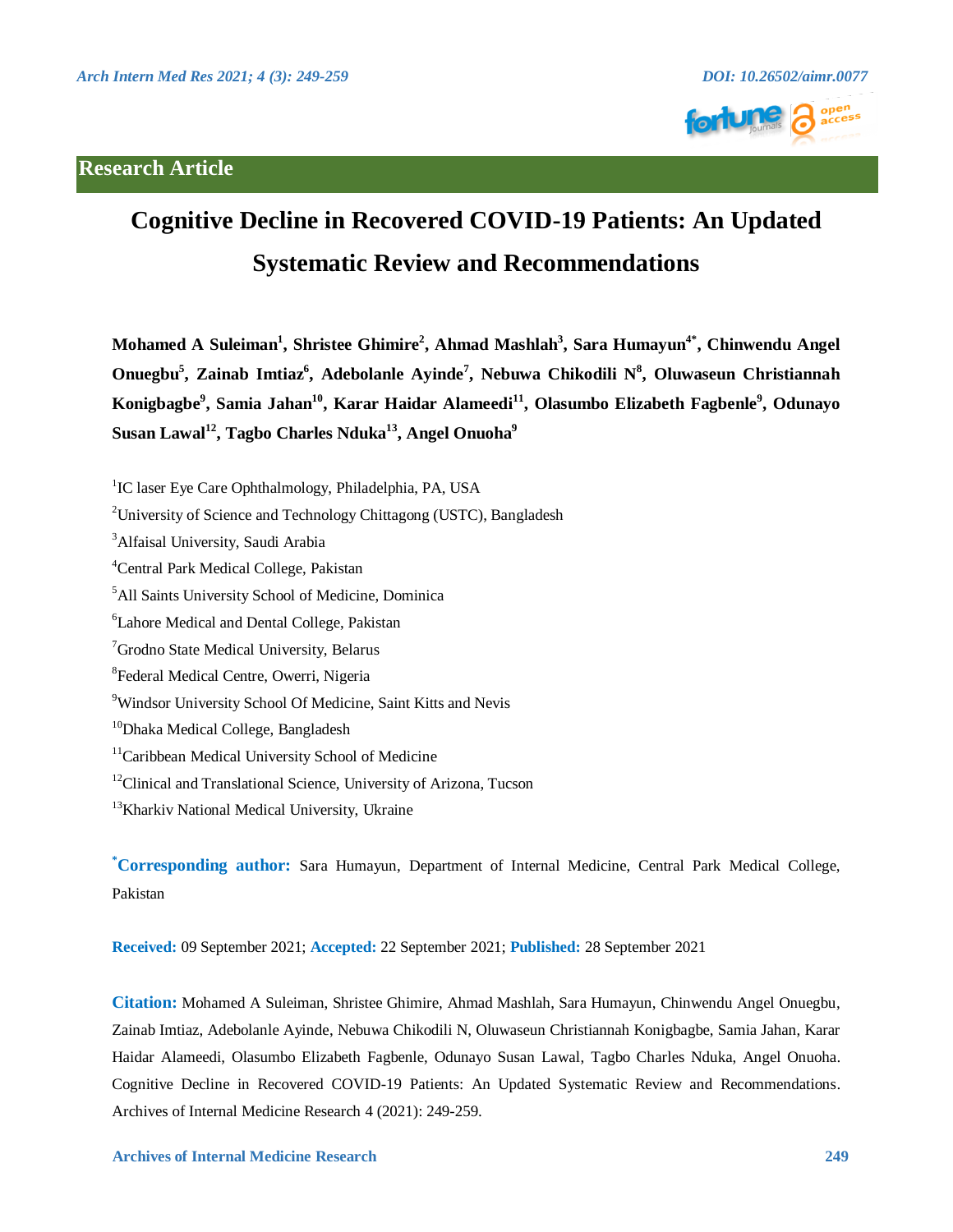# **Research Article**





# **Cognitive Decline in Recovered COVID-19 Patients: An Updated Systematic Review and Recommendations**

**Mohamed A Suleiman1 , Shristee Ghimire<sup>2</sup> , Ahmad Mashlah3 , Sara Humayun4\* , Chinwendu Angel**  Onuegbu<sup>5</sup>, Zainab Imtiaz<sup>6</sup>, Adebolanle Ayinde<sup>7</sup>, Nebuwa Chikodili N<sup>8</sup>, Oluwaseun Christiannah **Konigbagbe9 , Samia Jahan10, Karar Haidar Alameedi11, Olasumbo Elizabeth Fagbenle9 , Odunayo**  Susan Lawal<sup>12</sup>, Tagbo Charles Nduka<sup>13</sup>, Angel Onuoha<sup>9</sup>

<sup>1</sup>IC laser Eye Care Ophthalmology, Philadelphia, PA, USA

<sup>2</sup>University of Science and Technology Chittagong (USTC), Bangladesh

<sup>3</sup>Alfaisal University, Saudi Arabia

4 Central Park Medical College, Pakistan

5 All Saints University School of Medicine, Dominica

6 Lahore Medical and Dental College, Pakistan

<sup>7</sup> Grodno State Medical University, Belarus

8 Federal Medical Centre, Owerri, Nigeria

9 Windsor University School Of Medicine, Saint Kitts and Nevis

<sup>10</sup>Dhaka Medical College, Bangladesh

<sup>11</sup>Caribbean Medical University School of Medicine

 $12$ Clinical and Translational Science, University of Arizona, Tucson

<sup>13</sup>Kharkiv National Medical University, Ukraine

**\* Corresponding author:** Sara Humayun, Department of Internal Medicine, Central Park Medical College, Pakistan

**Received:** 09 September 2021; **Accepted:** 22 September 2021; **Published:** 28 September 2021

**Citation:** Mohamed A Suleiman, Shristee Ghimire, Ahmad Mashlah, Sara Humayun, Chinwendu Angel Onuegbu, Zainab Imtiaz, Adebolanle Ayinde, Nebuwa Chikodili N, Oluwaseun Christiannah Konigbagbe, Samia Jahan, Karar Haidar Alameedi, Olasumbo Elizabeth Fagbenle, Odunayo Susan Lawal, Tagbo Charles Nduka, Angel Onuoha. Cognitive Decline in Recovered COVID-19 Patients: An Updated Systematic Review and Recommendations. Archives of Internal Medicine Research 4 (2021): 249-259.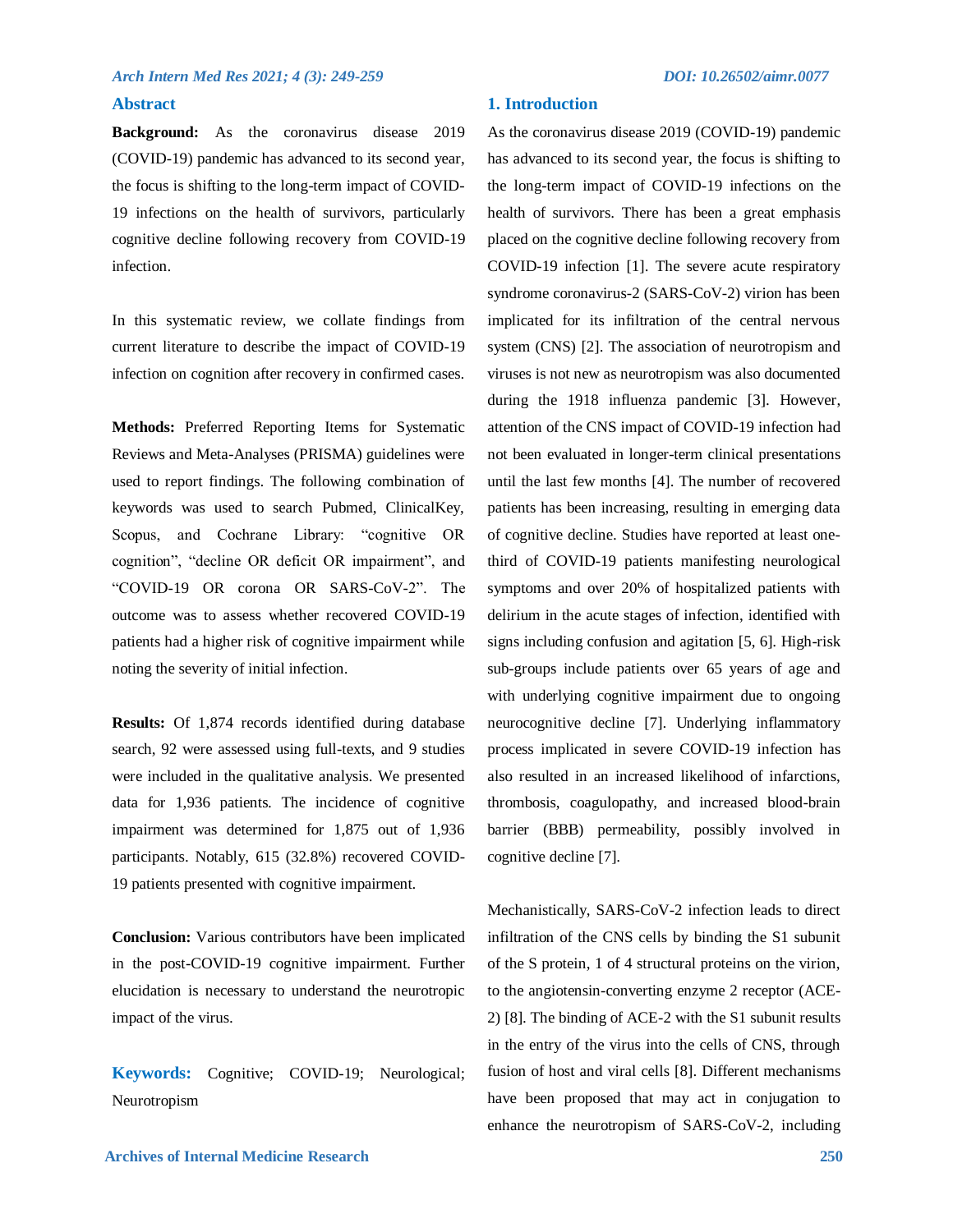#### **Abstract**

**Background:** As the coronavirus disease 2019 (COVID-19) pandemic has advanced to its second year, the focus is shifting to the long-term impact of COVID-19 infections on the health of survivors, particularly cognitive decline following recovery from COVID-19 infection.

In this systematic review, we collate findings from current literature to describe the impact of COVID-19 infection on cognition after recovery in confirmed cases.

**Methods:** Preferred Reporting Items for Systematic Reviews and Meta-Analyses (PRISMA) guidelines were used to report findings. The following combination of keywords was used to search Pubmed, ClinicalKey, Scopus, and Cochrane Library: "cognitive OR cognition", "decline OR deficit OR impairment", and "COVID-19 OR corona OR SARS-CoV-2". The outcome was to assess whether recovered COVID-19 patients had a higher risk of cognitive impairment while noting the severity of initial infection.

**Results:** Of 1,874 records identified during database search, 92 were assessed using full-texts, and 9 studies were included in the qualitative analysis. We presented data for 1,936 patients. The incidence of cognitive impairment was determined for 1,875 out of 1,936 participants. Notably, 615 (32.8%) recovered COVID-19 patients presented with cognitive impairment.

**Conclusion:** Various contributors have been implicated in the post-COVID-19 cognitive impairment. Further elucidation is necessary to understand the neurotropic impact of the virus.

**Keywords:** Cognitive; COVID-19; Neurological; Neurotropism

As the coronavirus disease 2019 (COVID-19) pandemic has advanced to its second year, the focus is shifting to the long-term impact of COVID-19 infections on the health of survivors. There has been a great emphasis placed on the cognitive decline following recovery from COVID-19 infection [1]. The severe acute respiratory syndrome coronavirus-2 (SARS-CoV-2) virion has been implicated for its infiltration of the central nervous system (CNS) [2]. The association of neurotropism and viruses is not new as neurotropism was also documented during the 1918 influenza pandemic [3]. However, attention of the CNS impact of COVID-19 infection had not been evaluated in longer-term clinical presentations until the last few months [4]. The number of recovered patients has been increasing, resulting in emerging data of cognitive decline. Studies have reported at least onethird of COVID-19 patients manifesting neurological symptoms and over 20% of hospitalized patients with delirium in the acute stages of infection, identified with signs including confusion and agitation [5, 6]. High-risk sub-groups include patients over 65 years of age and with underlying cognitive impairment due to ongoing neurocognitive decline [7]. Underlying inflammatory process implicated in severe COVID-19 infection has also resulted in an increased likelihood of infarctions, thrombosis, coagulopathy, and increased blood-brain barrier (BBB) permeability, possibly involved in cognitive decline [7].

Mechanistically, SARS-CoV-2 infection leads to direct infiltration of the CNS cells by binding the S1 subunit of the S protein, 1 of 4 structural proteins on the virion, to the angiotensin-converting enzyme 2 receptor (ACE-2) [8]. The binding of ACE-2 with the S1 subunit results in the entry of the virus into the cells of CNS, through fusion of host and viral cells [8]. Different mechanisms have been proposed that may act in conjugation to enhance the neurotropism of SARS-CoV-2, including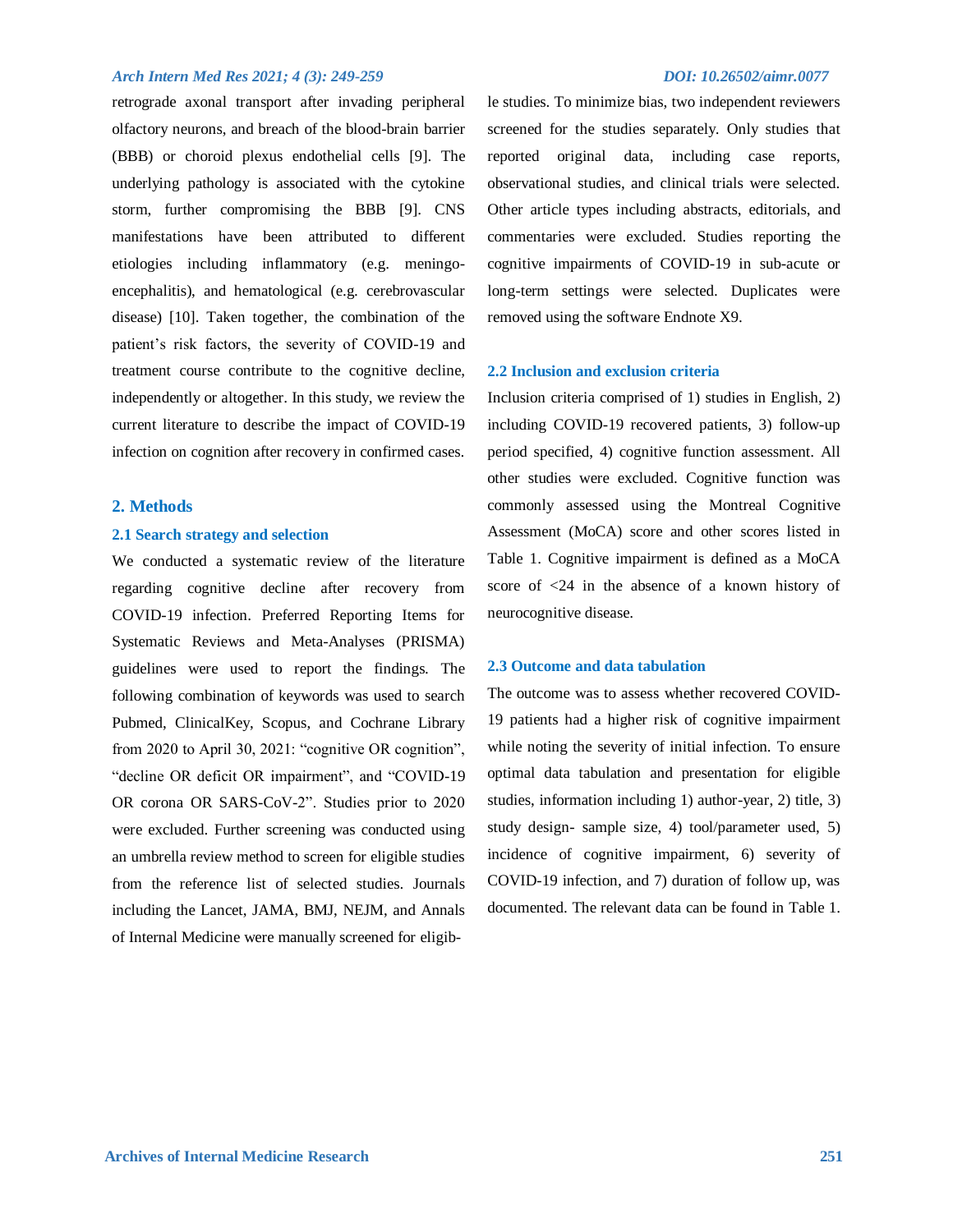retrograde axonal transport after invading peripheral olfactory neurons, and breach of the blood-brain barrier (BBB) or choroid plexus endothelial cells [9]. The underlying pathology is associated with the cytokine storm, further compromising the BBB [9]. CNS manifestations have been attributed to different etiologies including inflammatory (e.g. meningoencephalitis), and hematological (e.g. cerebrovascular disease) [10]. Taken together, the combination of the patient's risk factors, the severity of COVID-19 and treatment course contribute to the cognitive decline, independently or altogether. In this study, we review the current literature to describe the impact of COVID-19 infection on cognition after recovery in confirmed cases.

#### **2. Methods**

#### **2.1 Search strategy and selection**

We conducted a systematic review of the literature regarding cognitive decline after recovery from COVID-19 infection. Preferred Reporting Items for Systematic Reviews and Meta-Analyses (PRISMA) guidelines were used to report the findings. The following combination of keywords was used to search Pubmed, ClinicalKey, Scopus, and Cochrane Library from 2020 to April 30, 2021: "cognitive OR cognition", "decline OR deficit OR impairment", and "COVID-19 OR corona OR SARS-CoV-2". Studies prior to 2020 were excluded. Further screening was conducted using an umbrella review method to screen for eligible studies from the reference list of selected studies. Journals including the Lancet, JAMA, BMJ, NEJM, and Annals of Internal Medicine were manually screened for eligib-

le studies. To minimize bias, two independent reviewers screened for the studies separately. Only studies that reported original data, including case reports, observational studies, and clinical trials were selected. Other article types including abstracts, editorials, and commentaries were excluded. Studies reporting the cognitive impairments of COVID-19 in sub-acute or long-term settings were selected. Duplicates were removed using the software Endnote X9.

### **2.2 Inclusion and exclusion criteria**

Inclusion criteria comprised of 1) studies in English, 2) including COVID-19 recovered patients, 3) follow-up period specified, 4) cognitive function assessment. All other studies were excluded. Cognitive function was commonly assessed using the Montreal Cognitive Assessment (MoCA) score and other scores listed in Table 1. Cognitive impairment is defined as a MoCA score of <24 in the absence of a known history of neurocognitive disease.

#### **2.3 Outcome and data tabulation**

The outcome was to assess whether recovered COVID-19 patients had a higher risk of cognitive impairment while noting the severity of initial infection. To ensure optimal data tabulation and presentation for eligible studies, information including 1) author-year, 2) title, 3) study design- sample size, 4) tool/parameter used, 5) incidence of cognitive impairment, 6) severity of COVID-19 infection, and 7) duration of follow up, was documented. The relevant data can be found in Table 1.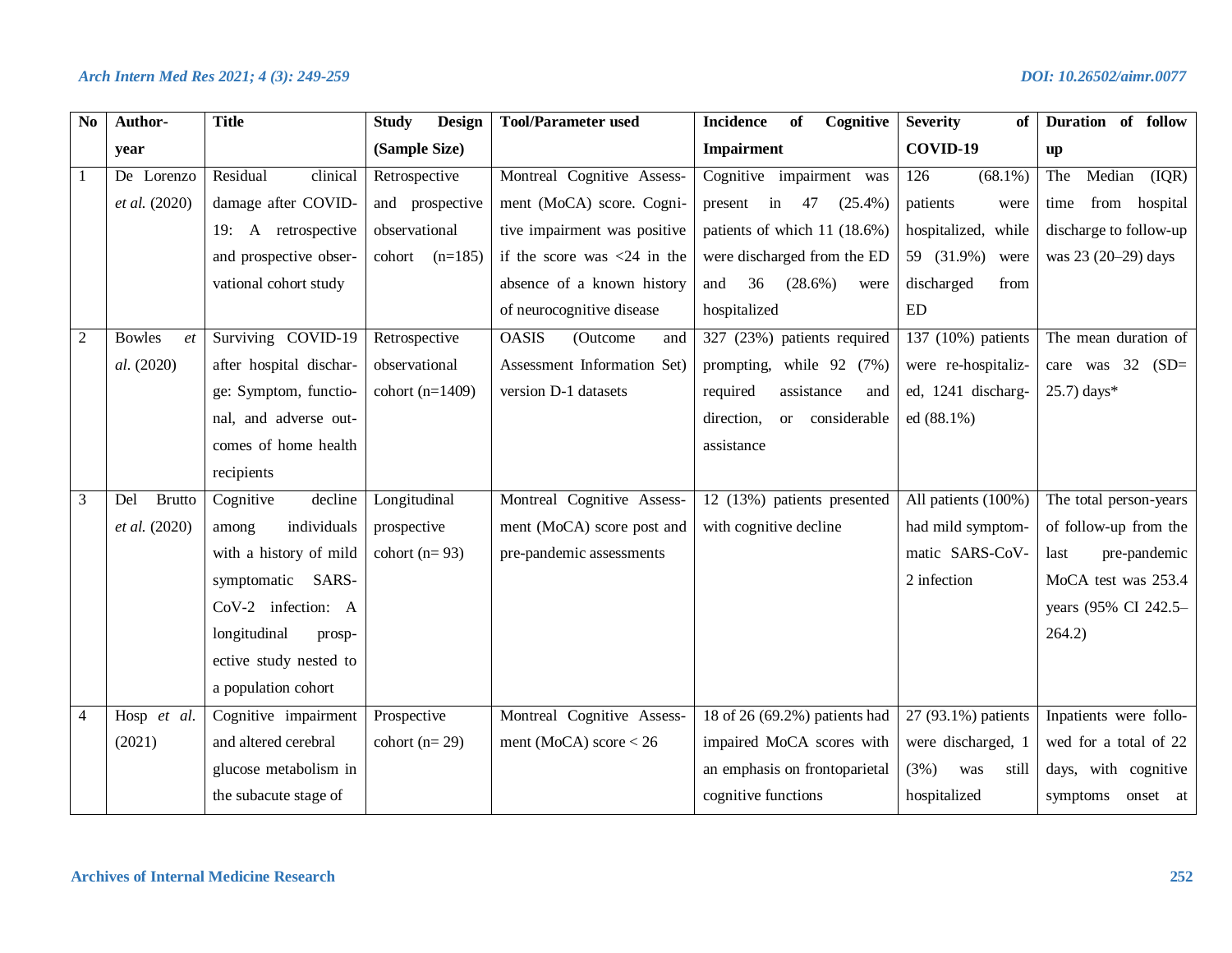| N <sub>0</sub> | Author-              | <b>Title</b>            | <b>Design</b><br><b>Study</b> | <b>Tool/Parameter used</b>      | <b>Incidence</b><br>of<br>Cognitive | <b>Severity</b><br>of | Duration of follow     |
|----------------|----------------------|-------------------------|-------------------------------|---------------------------------|-------------------------------------|-----------------------|------------------------|
|                | year                 |                         | (Sample Size)                 |                                 | <b>Impairment</b>                   | COVID-19              | up                     |
|                | De Lorenzo           | Residual<br>clinical    | Retrospective                 | Montreal Cognitive Assess-      | Cognitive impairment was            | $(68.1\%)$<br>126     | Median<br>The<br>(IQR) |
|                | et al. (2020)        | damage after COVID-     | and prospective               | ment (MoCA) score. Cogni-       | present in 47<br>$(25.4\%)$         | patients<br>were      | from hospital<br>time  |
|                |                      | 19: A retrospective     | observational                 | tive impairment was positive    | patients of which 11 (18.6%)        | hospitalized, while   | discharge to follow-up |
|                |                      | and prospective obser-  | cohort $(n=185)$              | if the score was $<$ 24 in the  | were discharged from the ED         | 59 (31.9%)<br>were    | was 23 (20-29) days    |
|                |                      | vational cohort study   |                               | absence of a known history      | 36<br>$(28.6\%)$<br>and<br>were     | discharged<br>from    |                        |
|                |                      |                         |                               | of neurocognitive disease       | hospitalized                        | ED                    |                        |
| $\overline{2}$ | <b>Bowles</b><br>et  | Surviving COVID-19      | Retrospective                 | <b>OASIS</b><br>(Outcome<br>and | 327 (23%) patients required         | 137 (10%) patients    | The mean duration of   |
|                | al. (2020)           | after hospital dischar- | observational                 | Assessment Information Set)     | prompting, while 92 (7%)            | were re-hospitaliz-   | care was $32$ (SD=     |
|                |                      | ge: Symptom, functio-   | cohort $(n=1409)$             | version D-1 datasets            | required<br>assistance<br>and       | ed, 1241 discharg-    | $25.7$ ) days*         |
|                |                      | nal, and adverse out-   |                               |                                 | direction,<br>or considerable       | ed (88.1%)            |                        |
|                |                      | comes of home health    |                               |                                 | assistance                          |                       |                        |
|                |                      | recipients              |                               |                                 |                                     |                       |                        |
| 3              | <b>Brutto</b><br>Del | Cognitive<br>decline    | Longitudinal                  | Montreal Cognitive Assess-      | 12 (13%) patients presented         | All patients (100%)   | The total person-years |
|                | et al. (2020)        | individuals<br>among    | prospective                   | ment (MoCA) score post and      | with cognitive decline              | had mild symptom-     | of follow-up from the  |
|                |                      | with a history of mild  | cohort $(n=93)$               | pre-pandemic assessments        |                                     | matic SARS-CoV-       | pre-pandemic<br>last   |
|                |                      | symptomatic SARS-       |                               |                                 |                                     | 2 infection           | MoCA test was 253.4    |
|                |                      | CoV-2 infection: A      |                               |                                 |                                     |                       | years (95% CI 242.5-   |
|                |                      | longitudinal<br>prosp-  |                               |                                 |                                     |                       | 264.2)                 |
|                |                      | ective study nested to  |                               |                                 |                                     |                       |                        |
|                |                      | a population cohort     |                               |                                 |                                     |                       |                        |
| 4              | Hosp et al.          | Cognitive impairment    | Prospective                   | Montreal Cognitive Assess-      | 18 of 26 (69.2%) patients had       | 27 (93.1%) patients   | Inpatients were follo- |
|                | (2021)               | and altered cerebral    | cohort $(n=29)$               | ment (MoCA) score $< 26$        | impaired MoCA scores with           | were discharged, 1    | wed for a total of 22  |
|                |                      | glucose metabolism in   |                               |                                 | an emphasis on frontoparietal       | (3%)<br>still<br>was  | days, with cognitive   |
|                |                      | the subacute stage of   |                               |                                 | cognitive functions                 | hospitalized          | symptoms onset at      |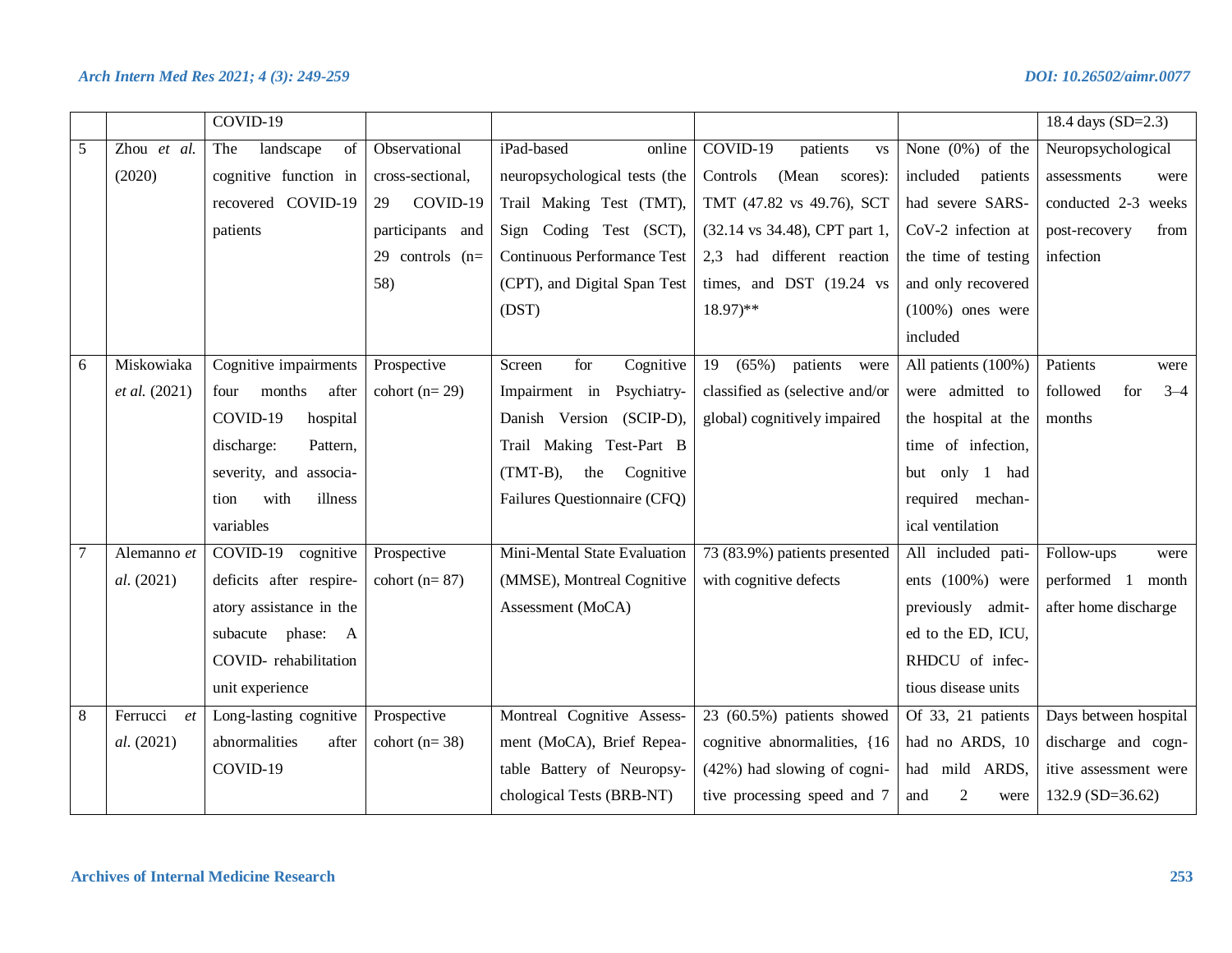|   |                | $COVID-19$              |                   |                                    |                                     |                               | 18.4 days (SD=2.3)         |
|---|----------------|-------------------------|-------------------|------------------------------------|-------------------------------------|-------------------------------|----------------------------|
| 5 | Zhou et al.    | landscape<br>The<br>of  | Observational     | iPad-based<br>online               | $COVID-19$<br>patients<br><b>VS</b> | None $(0\%)$ of the           | Neuropsychological         |
|   | (2020)         | cognitive function in   | cross-sectional,  | neuropsychological tests (the      | (Mean scores):<br>Controls          | included<br>patients          | assessments<br>were        |
|   |                | recovered COVID-19      | COVID-19<br>29    | Trail Making Test (TMT),           | TMT (47.82 vs 49.76), SCT           | had severe SARS-              | conducted 2-3 weeks        |
|   |                | patients                | participants and  | Sign Coding Test (SCT),            | (32.14 vs 34.48), CPT part 1,       | CoV-2 infection at            | from<br>post-recovery      |
|   |                |                         | 29 controls $(n=$ | <b>Continuous Performance Test</b> | 2,3 had different reaction          | the time of testing           | infection                  |
|   |                |                         | 58)               | (CPT), and Digital Span Test       | times, and DST (19.24 vs            | and only recovered            |                            |
|   |                |                         |                   | (DST)                              | $18.97$ <sup>**</sup>               | $(100\%)$ ones were           |                            |
|   |                |                         |                   |                                    |                                     | included                      |                            |
| 6 | Miskowiaka     | Cognitive impairments   | Prospective       | for<br>Cognitive<br>Screen         | (65%)<br>patients<br>19<br>were     | All patients (100%)           | Patients<br>were           |
|   | et al. (2021)  | months<br>after<br>four | cohort $(n=29)$   | Impairment in Psychiatry-          | classified as (selective and/or     | were admitted to              | followed<br>for<br>$3 - 4$ |
|   |                | COVID-19<br>hospital    |                   | Danish Version (SCIP-D),           | global) cognitively impaired        | the hospital at the           | months                     |
|   |                | discharge:<br>Pattern,  |                   | Trail Making Test-Part B           |                                     | time of infection,            |                            |
|   |                | severity, and associa-  |                   | $(TMT-B),$<br>the Cognitive        |                                     | but only 1 had                |                            |
|   |                | with<br>illness<br>tion |                   | Failures Questionnaire (CFQ)       |                                     | required mechan-              |                            |
|   |                | variables               |                   |                                    |                                     | ical ventilation              |                            |
| 7 | Alemanno et    | COVID-19 cognitive      | Prospective       | Mini-Mental State Evaluation       | 73 (83.9%) patients presented       | All included pati-            | Follow-ups<br>were         |
|   | al. (2021)     | deficits after respire- | cohort $(n=87)$   | (MMSE), Montreal Cognitive         | with cognitive defects              | ents (100%) were              | performed 1 month          |
|   |                | atory assistance in the |                   | Assessment (MoCA)                  |                                     | previously admit-             | after home discharge       |
|   |                | subacute phase: A       |                   |                                    |                                     | ed to the ED, ICU,            |                            |
|   |                | COVID-rehabilitation    |                   |                                    |                                     | RHDCU of infec-               |                            |
|   |                | unit experience         |                   |                                    |                                     | tious disease units           |                            |
| 8 | Ferrucci<br>et | Long-lasting cognitive  | Prospective       | Montreal Cognitive Assess-         | 23 (60.5%) patients showed          | Of 33, 21 patients            | Days between hospital      |
|   | al. (2021)     | abnormalities<br>after  | cohort ( $n=38$ ) | ment (MoCA), Brief Repea-          | cognitive abnormalities, {16}       | had no ARDS, 10               | discharge and cogn-        |
|   |                | COVID-19                |                   | table Battery of Neuropsy-         | $(42%)$ had slowing of cogni-       | had mild ARDS,                | itive assessment were      |
|   |                |                         |                   | chological Tests (BRB-NT)          | tive processing speed and 7         | $\overline{2}$<br>and<br>were | $132.9 (SD=36.62)$         |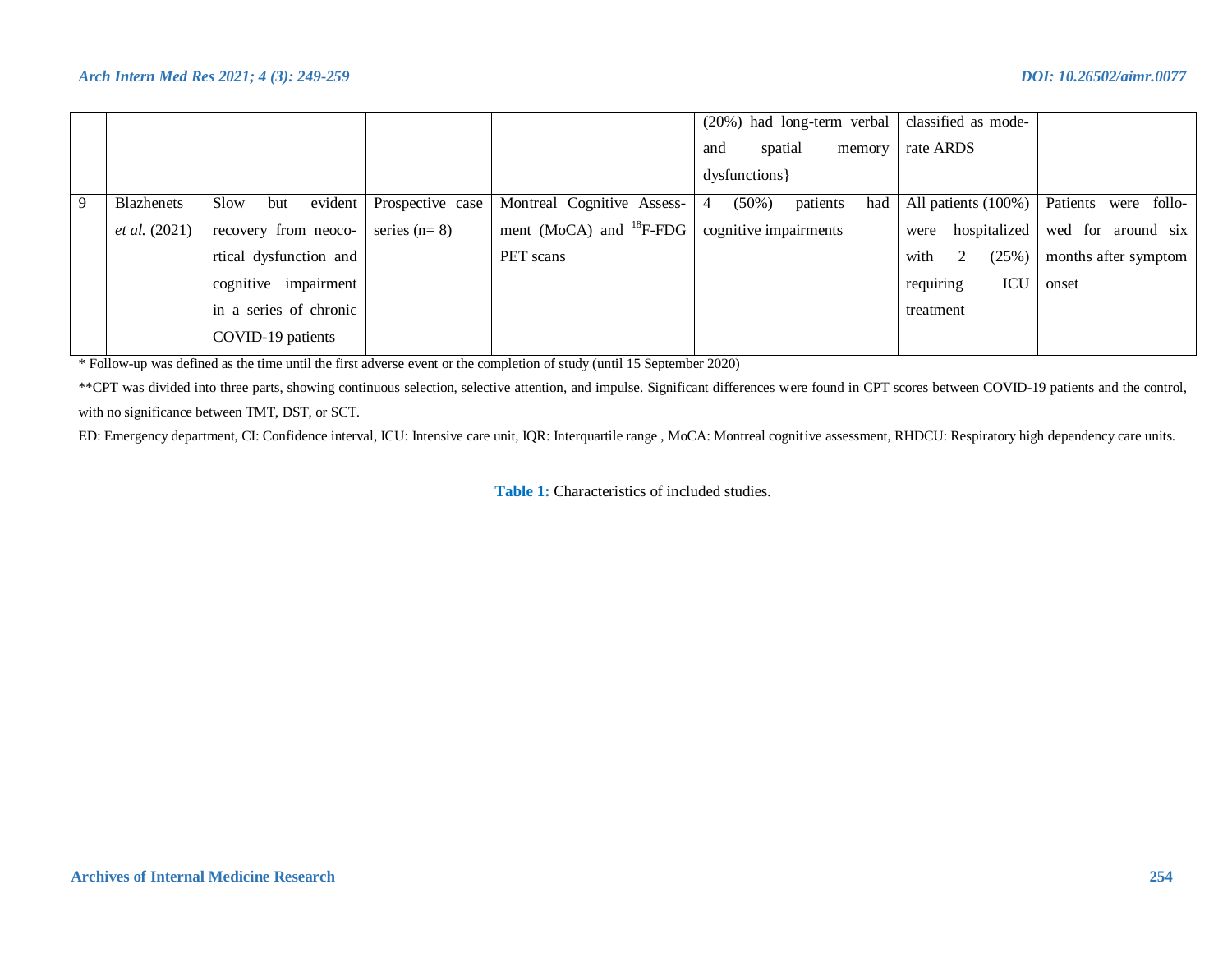|    |                      |                           |                  |                                                       | $(20%)$ had long-term verbal classified as mode- |                      |                         |
|----|----------------------|---------------------------|------------------|-------------------------------------------------------|--------------------------------------------------|----------------------|-------------------------|
|    |                      |                           |                  |                                                       | spatial<br>memory<br>and                         | rate ARDS            |                         |
|    |                      |                           |                  |                                                       | dysfunctions }                                   |                      |                         |
| -9 | <b>Blazhenets</b>    | $e$ vident<br>Slow<br>but | Prospective case | Montreal Cognitive Assess-                            | $(50\%)$<br>$\overline{4}$<br>patients<br>had    | All patients (100%)  | Patients<br>were follo- |
|    | <i>et al.</i> (2021) | recovery from neoco-      | series $(n=8)$   | ment (MoCA) and ${}^{18}F$ -FDG cognitive impairments |                                                  | hospitalized<br>were | wed for around six      |
|    |                      | rtical dysfunction and    |                  | PET scans                                             |                                                  | (25%)<br>with<br>2   | months after symptom    |
|    |                      | cognitive impairment      |                  |                                                       |                                                  | requiring<br>ICU     | onset                   |
|    |                      | in a series of chronic    |                  |                                                       |                                                  | treatment            |                         |
|    |                      | COVID-19 patients         |                  |                                                       |                                                  |                      |                         |

\* Follow-up was defined as the time until the first adverse event or the completion of study (until 15 September 2020)

\*\*CPT was divided into three parts, showing continuous selection, selective attention, and impulse. Significant differences were found in CPT scores between COVID-19 patients and the control, with no significance between TMT, DST, or SCT.

ED: Emergency department, CI: Confidence interval, ICU: Intensive care unit, IQR: Interquartile range , MoCA: Montreal cognitive assessment, RHDCU: Respiratory high dependency care units.

**Table 1:** Characteristics of included studies.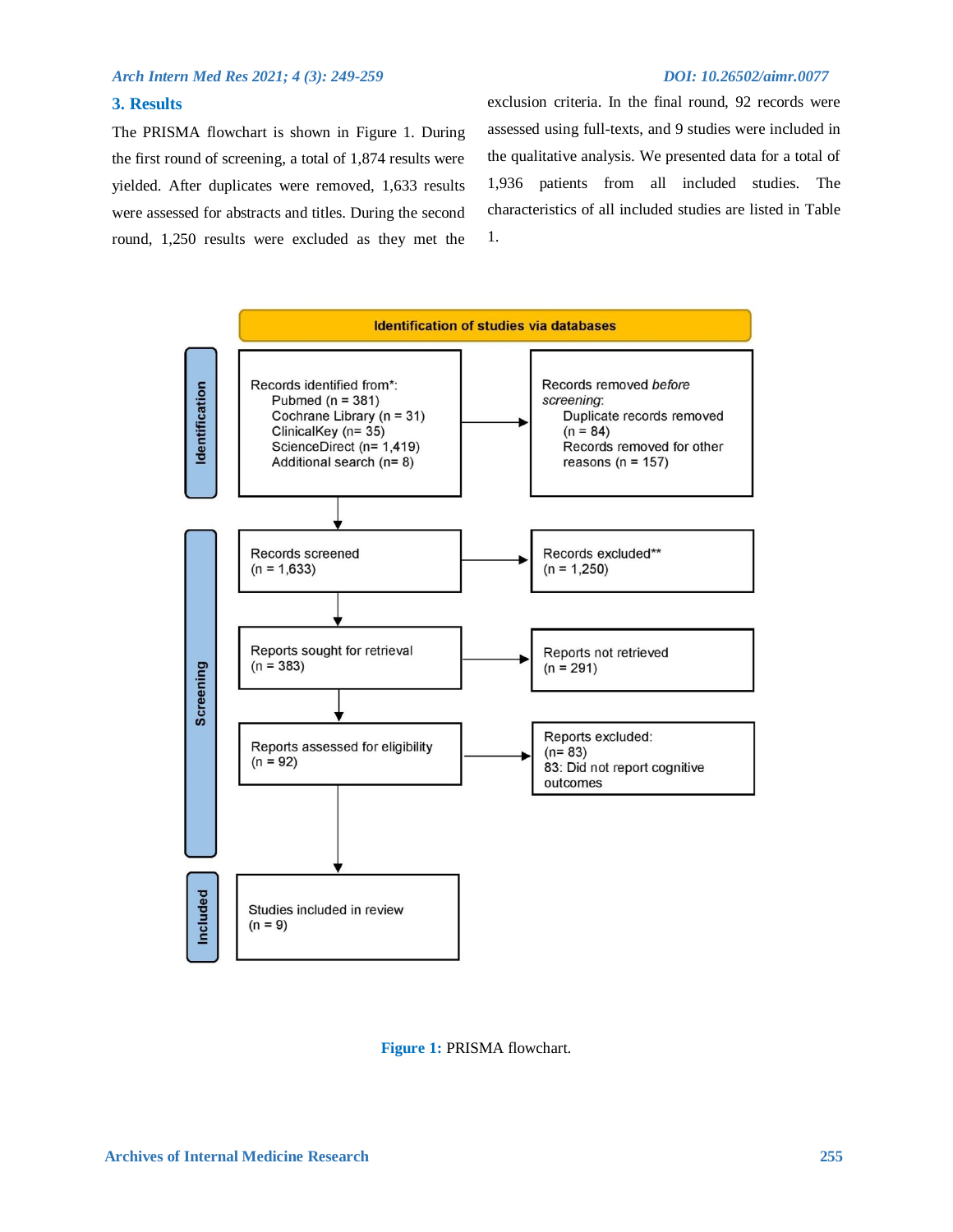### **3. Results**

The PRISMA flowchart is shown in Figure 1. During the first round of screening, a total of 1,874 results were yielded. After duplicates were removed, 1,633 results were assessed for abstracts and titles. During the second round, 1,250 results were excluded as they met the exclusion criteria. In the final round, 92 records were assessed using full-texts, and 9 studies were included in the qualitative analysis. We presented data for a total of 1,936 patients from all included studies. The characteristics of all included studies are listed in Table 1.



**Figure 1:** PRISMA flowchart.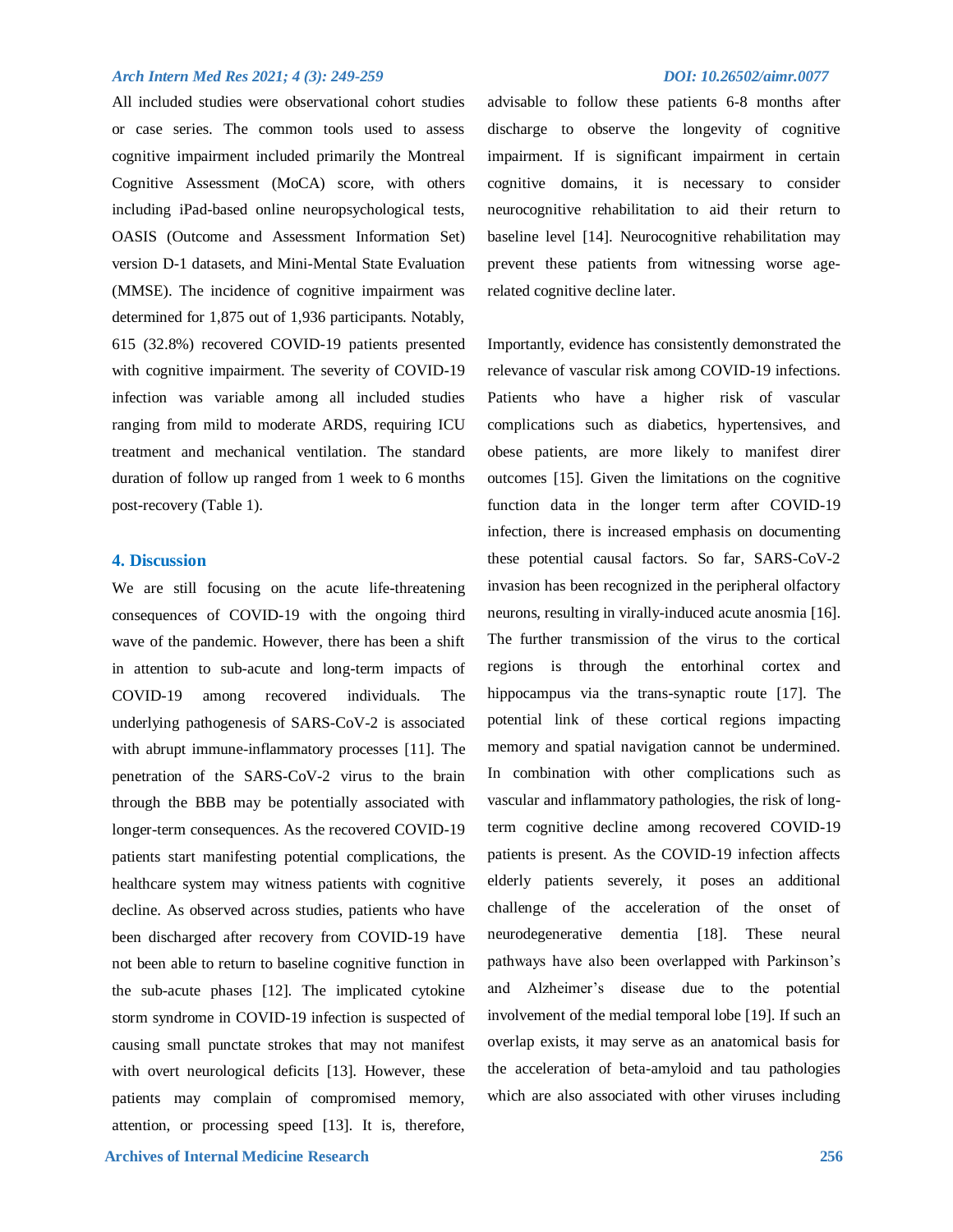All included studies were observational cohort studies or case series. The common tools used to assess cognitive impairment included primarily the Montreal Cognitive Assessment (MoCA) score, with others including iPad-based online neuropsychological tests, OASIS (Outcome and Assessment Information Set) version D-1 datasets, and Mini-Mental State Evaluation (MMSE). The incidence of cognitive impairment was determined for 1,875 out of 1,936 participants. Notably, 615 (32.8%) recovered COVID-19 patients presented with cognitive impairment. The severity of COVID-19 infection was variable among all included studies ranging from mild to moderate ARDS, requiring ICU treatment and mechanical ventilation. The standard duration of follow up ranged from 1 week to 6 months post-recovery (Table 1).

### **4. Discussion**

We are still focusing on the acute life-threatening consequences of COVID-19 with the ongoing third wave of the pandemic. However, there has been a shift in attention to sub-acute and long-term impacts of COVID-19 among recovered individuals. The underlying pathogenesis of SARS-CoV-2 is associated with abrupt immune-inflammatory processes [11]. The penetration of the SARS-CoV-2 virus to the brain through the BBB may be potentially associated with longer-term consequences. As the recovered COVID-19 patients start manifesting potential complications, the healthcare system may witness patients with cognitive decline. As observed across studies, patients who have been discharged after recovery from COVID-19 have not been able to return to baseline cognitive function in the sub-acute phases [12]. The implicated cytokine storm syndrome in COVID-19 infection is suspected of causing small punctate strokes that may not manifest with overt neurological deficits [13]. However, these patients may complain of compromised memory, attention, or processing speed [13]. It is, therefore,

advisable to follow these patients 6-8 months after discharge to observe the longevity of cognitive impairment. If is significant impairment in certain cognitive domains, it is necessary to consider neurocognitive rehabilitation to aid their return to baseline level [14]. Neurocognitive rehabilitation may prevent these patients from witnessing worse agerelated cognitive decline later.

Importantly, evidence has consistently demonstrated the relevance of vascular risk among COVID-19 infections. Patients who have a higher risk of vascular complications such as diabetics, hypertensives, and obese patients, are more likely to manifest direr outcomes [15]. Given the limitations on the cognitive function data in the longer term after COVID-19 infection, there is increased emphasis on documenting these potential causal factors. So far, SARS-CoV-2 invasion has been recognized in the peripheral olfactory neurons, resulting in virally-induced acute anosmia [16]. The further transmission of the virus to the cortical regions is through the entorhinal cortex and hippocampus via the trans-synaptic route [17]. The potential link of these cortical regions impacting memory and spatial navigation cannot be undermined. In combination with other complications such as vascular and inflammatory pathologies, the risk of longterm cognitive decline among recovered COVID-19 patients is present. As the COVID-19 infection affects elderly patients severely, it poses an additional challenge of the acceleration of the onset of neurodegenerative dementia [18]. These neural pathways have also been overlapped with Parkinson's and Alzheimer's disease due to the potential involvement of the medial temporal lobe [19]. If such an overlap exists, it may serve as an anatomical basis for the acceleration of beta-amyloid and tau pathologies which are also associated with other viruses including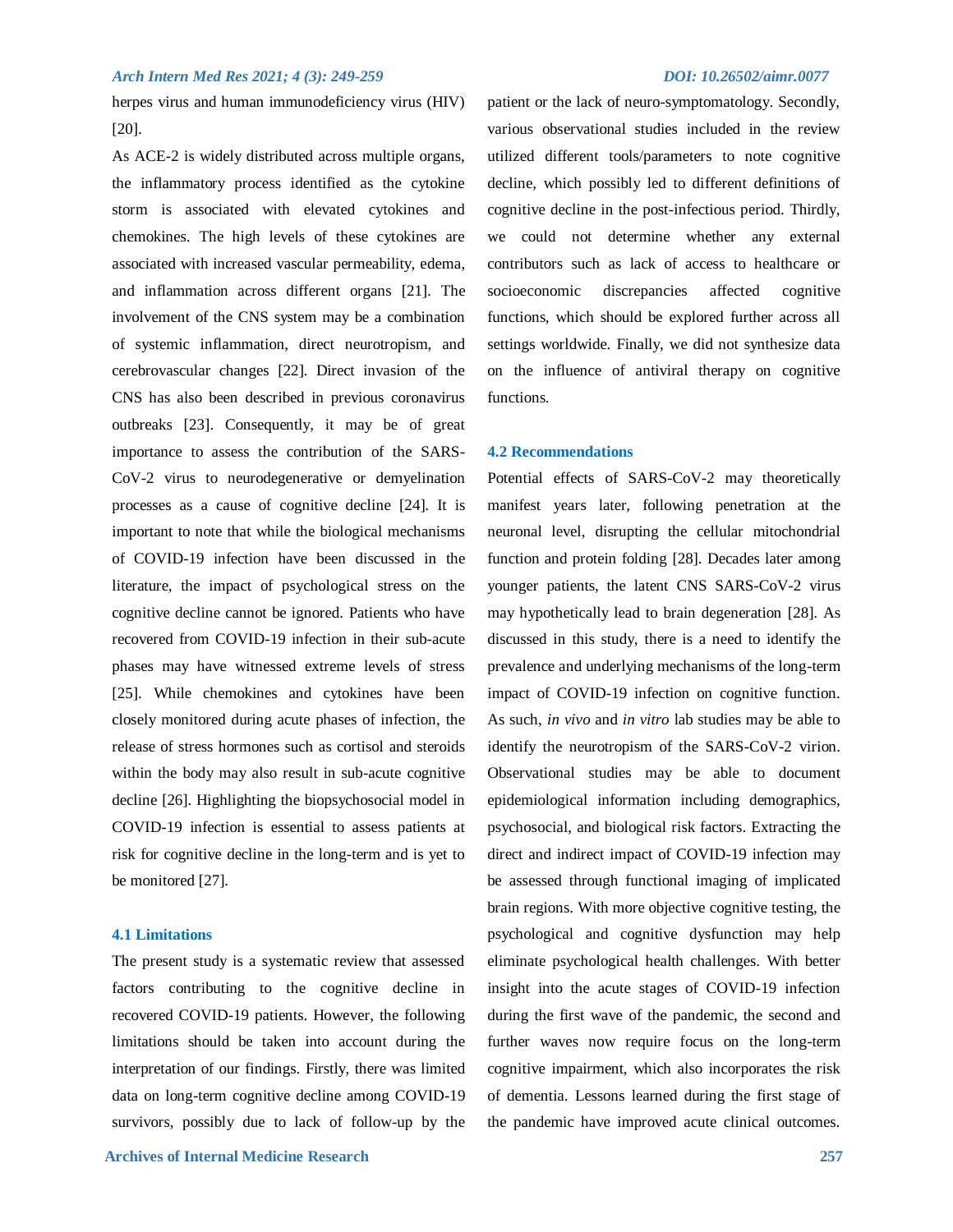herpes virus and human immunodeficiency virus (HIV) [20].

As ACE-2 is widely distributed across multiple organs, the inflammatory process identified as the cytokine storm is associated with elevated cytokines and chemokines. The high levels of these cytokines are associated with increased vascular permeability, edema, and inflammation across different organs [21]. The involvement of the CNS system may be a combination of systemic inflammation, direct neurotropism, and cerebrovascular changes [22]. Direct invasion of the CNS has also been described in previous coronavirus outbreaks [23]. Consequently, it may be of great importance to assess the contribution of the SARS-CoV-2 virus to neurodegenerative or demyelination processes as a cause of cognitive decline [24]. It is important to note that while the biological mechanisms of COVID-19 infection have been discussed in the literature, the impact of psychological stress on the cognitive decline cannot be ignored. Patients who have recovered from COVID-19 infection in their sub-acute phases may have witnessed extreme levels of stress [25]. While chemokines and cytokines have been closely monitored during acute phases of infection, the release of stress hormones such as cortisol and steroids within the body may also result in sub-acute cognitive decline [26]. Highlighting the biopsychosocial model in COVID-19 infection is essential to assess patients at risk for cognitive decline in the long-term and is yet to be monitored [27].

### **4.1 Limitations**

The present study is a systematic review that assessed factors contributing to the cognitive decline in recovered COVID-19 patients. However, the following limitations should be taken into account during the interpretation of our findings. Firstly, there was limited data on long-term cognitive decline among COVID-19 survivors, possibly due to lack of follow-up by the

patient or the lack of neuro-symptomatology. Secondly, various observational studies included in the review utilized different tools/parameters to note cognitive decline, which possibly led to different definitions of cognitive decline in the post-infectious period. Thirdly, we could not determine whether any external contributors such as lack of access to healthcare or socioeconomic discrepancies affected cognitive functions, which should be explored further across all settings worldwide. Finally, we did not synthesize data on the influence of antiviral therapy on cognitive functions.

### **4.2 Recommendations**

Potential effects of SARS-CoV-2 may theoretically manifest years later, following penetration at the neuronal level, disrupting the cellular mitochondrial function and protein folding [28]. Decades later among younger patients, the latent CNS SARS-CoV-2 virus may hypothetically lead to brain degeneration [28]. As discussed in this study, there is a need to identify the prevalence and underlying mechanisms of the long-term impact of COVID-19 infection on cognitive function. As such, *in vivo* and *in vitro* lab studies may be able to identify the neurotropism of the SARS-CoV-2 virion. Observational studies may be able to document epidemiological information including demographics, psychosocial, and biological risk factors. Extracting the direct and indirect impact of COVID-19 infection may be assessed through functional imaging of implicated brain regions. With more objective cognitive testing, the psychological and cognitive dysfunction may help eliminate psychological health challenges. With better insight into the acute stages of COVID-19 infection during the first wave of the pandemic, the second and further waves now require focus on the long-term cognitive impairment, which also incorporates the risk of dementia. Lessons learned during the first stage of the pandemic have improved acute clinical outcomes.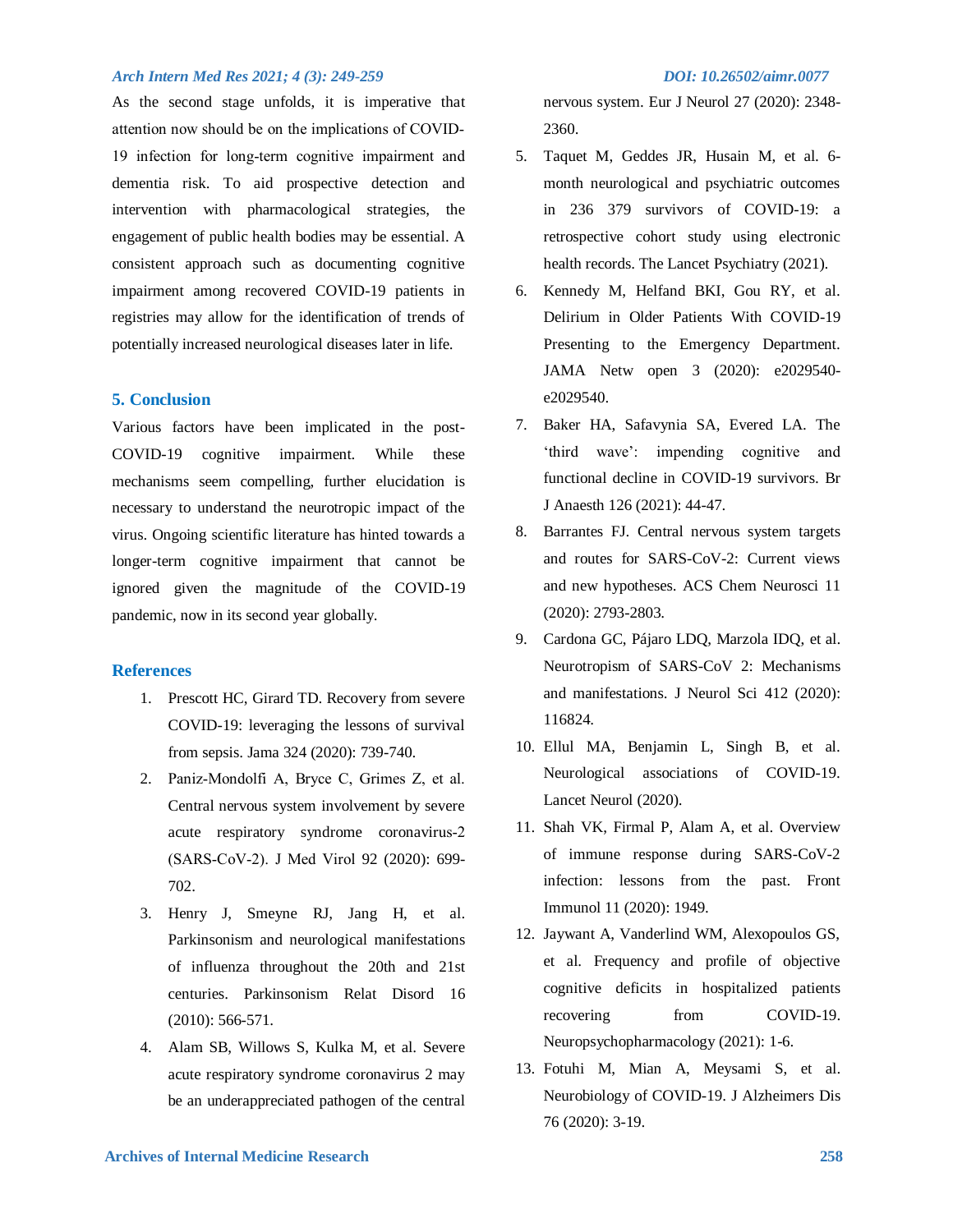As the second stage unfolds, it is imperative that attention now should be on the implications of COVID‐ 19 infection for long‐term cognitive impairment and dementia risk. To aid prospective detection and intervention with pharmacological strategies, the engagement of public health bodies may be essential. A consistent approach such as documenting cognitive impairment among recovered COVID-19 patients in registries may allow for the identification of trends of potentially increased neurological diseases later in life.

#### **5. Conclusion**

Various factors have been implicated in the post-COVID-19 cognitive impairment. While these mechanisms seem compelling, further elucidation is necessary to understand the neurotropic impact of the virus. Ongoing scientific literature has hinted towards a longer-term cognitive impairment that cannot be ignored given the magnitude of the COVID-19 pandemic, now in its second year globally.

### **References**

- 1. Prescott HC, Girard TD. Recovery from severe COVID-19: leveraging the lessons of survival from sepsis. Jama 324 (2020): 739-740.
- 2. Paniz‐Mondolfi A, Bryce C, Grimes Z, et al. Central nervous system involvement by severe acute respiratory syndrome coronavirus‐2 (SARS‐CoV‐2). J Med Virol 92 (2020): 699- 702.
- 3. Henry J, Smeyne RJ, Jang H, et al. Parkinsonism and neurological manifestations of influenza throughout the 20th and 21st centuries. Parkinsonism Relat Disord 16 (2010): 566-571.
- 4. Alam SB, Willows S, Kulka M, et al. Severe acute respiratory syndrome coronavirus 2 may be an underappreciated pathogen of the central

nervous system. Eur J Neurol 27 (2020): 2348- 2360.

- 5. Taquet M, Geddes JR, Husain M, et al. 6 month neurological and psychiatric outcomes in 236 379 survivors of COVID-19: a retrospective cohort study using electronic health records. The Lancet Psychiatry (2021).
- 6. Kennedy M, Helfand BKI, Gou RY, et al. Delirium in Older Patients With COVID-19 Presenting to the Emergency Department. JAMA Netw open 3 (2020): e2029540 e2029540.
- 7. Baker HA, Safavynia SA, Evered LA. The 'third wave': impending cognitive and functional decline in COVID-19 survivors. Br J Anaesth 126 (2021): 44-47.
- 8. Barrantes FJ. Central nervous system targets and routes for SARS-CoV-2: Current views and new hypotheses. ACS Chem Neurosci 11 (2020): 2793-2803.
- 9. Cardona GC, Pájaro LDQ, Marzola IDQ, et al. Neurotropism of SARS-CoV 2: Mechanisms and manifestations. J Neurol Sci 412 (2020): 116824.
- 10. Ellul MA, Benjamin L, Singh B, et al. Neurological associations of COVID-19. Lancet Neurol (2020).
- 11. Shah VK, Firmal P, Alam A, et al. Overview of immune response during SARS-CoV-2 infection: lessons from the past. Front Immunol 11 (2020): 1949.
- 12. Jaywant A, Vanderlind WM, Alexopoulos GS, et al. Frequency and profile of objective cognitive deficits in hospitalized patients recovering from COVID-19. Neuropsychopharmacology (2021): 1-6.
- 13. Fotuhi M, Mian A, Meysami S, et al. Neurobiology of COVID-19. J Alzheimers Dis 76 (2020): 3-19.